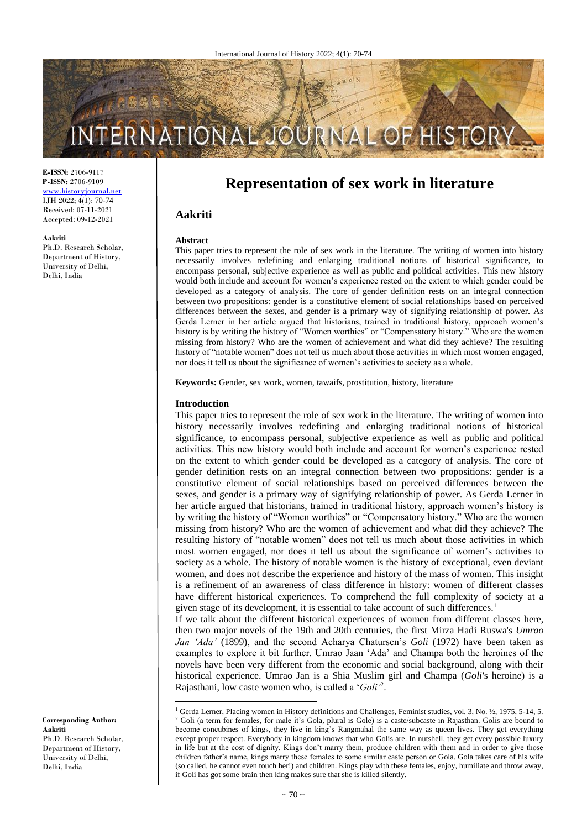# INTERNATIONAL

**E-ISSN:** 2706-9117 **P-ISSN:** 2706-9109 [www.historyjournal.net](http://www.historyjournal.net/) IJH 2022; 4(1): 70-74 Received: 07-11-2021 Accepted: 09-12-2021

### **Aakriti**

Ph.D. Research Scholar, Department of History, University of Delhi, Delhi, India

**Representation of sex work in literature**

# **Aakriti**

### **Abstract**

This paper tries to represent the role of sex work in the literature. The writing of women into history necessarily involves redefining and enlarging traditional notions of historical significance, to encompass personal, subjective experience as well as public and political activities. This new history would both include and account for women's experience rested on the extent to which gender could be developed as a category of analysis. The core of gender definition rests on an integral connection between two propositions: gender is a constitutive element of social relationships based on perceived differences between the sexes, and gender is a primary way of signifying relationship of power. As Gerda Lerner in her article argued that historians, trained in traditional history, approach women's history is by writing the history of "Women worthies" or "Compensatory history." Who are the women missing from history? Who are the women of achievement and what did they achieve? The resulting history of "notable women" does not tell us much about those activities in which most women engaged, nor does it tell us about the significance of women's activities to society as a whole.

**Keywords:** Gender, sex work, women, tawaifs, prostitution, history, literature

## **Introduction**

 $\overline{\phantom{a}}$ 

This paper tries to represent the role of sex work in the literature. The writing of women into history necessarily involves redefining and enlarging traditional notions of historical significance, to encompass personal, subjective experience as well as public and political activities. This new history would both include and account for women's experience rested on the extent to which gender could be developed as a category of analysis. The core of gender definition rests on an integral connection between two propositions: gender is a constitutive element of social relationships based on perceived differences between the sexes, and gender is a primary way of signifying relationship of power. As Gerda Lerner in her article argued that historians, trained in traditional history, approach women's history is by writing the history of "Women worthies" or "Compensatory history." Who are the women missing from history? Who are the women of achievement and what did they achieve? The resulting history of "notable women" does not tell us much about those activities in which most women engaged, nor does it tell us about the significance of women's activities to society as a whole. The history of notable women is the history of exceptional, even deviant women, and does not describe the experience and history of the mass of women. This insight is a refinement of an awareness of class difference in history: women of different classes have different historical experiences. To comprehend the full complexity of society at a given stage of its development, it is essential to take account of such differences.<sup>1</sup>

If we talk about the different historical experiences of women from different classes here, then two major novels of the 19th and 20th centuries, the first Mirza Hadi Ruswa's *Umrao Jan 'Ada'* (1899), and the second Acharya Chatursen's *Goli* (1972) have been taken as examples to explore it bit further. Umrao Jaan 'Ada' and Champa both the heroines of the novels have been very different from the economic and social background, along with their historical experience. Umrao Jan is a Shia Muslim girl and Champa (*Goli'*s heroine) is a Rajasthani, low caste women who, is called a '*Goli'*<sup>2</sup> .

**Corresponding Author: Aakriti** Ph.D. Research Scholar, Department of History, University of Delhi, Delhi, India

<sup>&</sup>lt;sup>1</sup> Gerda Lerner, Placing women in History definitions and Challenges, Feminist studies, vol. 3, No. 1/2, 1975, 5-14, 5. <sup>2</sup> Goli (a term for females, for male it's Gola, plural is Gole) is a caste/subcaste in Rajasthan. Golis are bound to become concubines of kings, they live in king's Rangmahal the same way as queen lives. They get everything except proper respect. Everybody in kingdom knows that who Golis are. In nutshell, they get every possible luxury in life but at the cost of dignity. Kings don't marry them, produce children with them and in order to give those children father's name, kings marry these females to some similar caste person or Gola. Gola takes care of his wife (so called, he cannot even touch her!) and children. Kings play with these females, enjoy, humiliate and throw away, if Goli has got some brain then king makes sure that she is killed silently.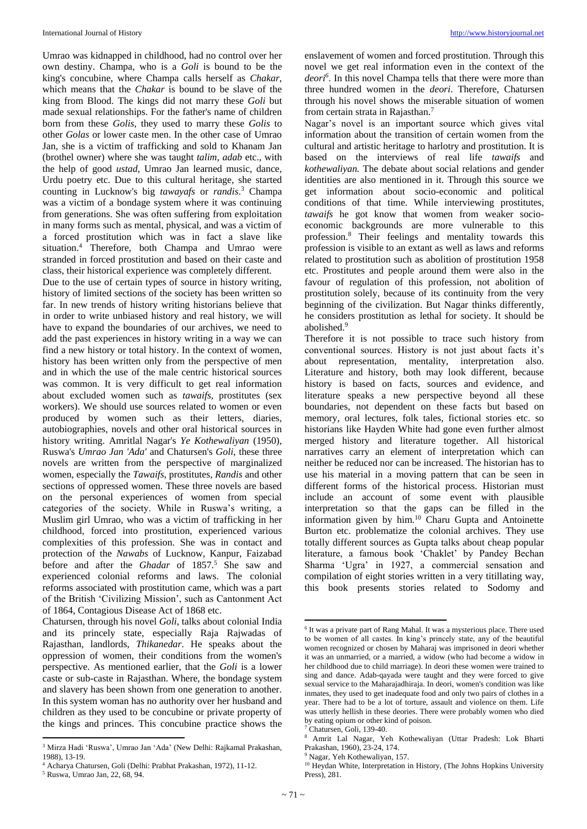Umrao was kidnapped in childhood, had no control over her own destiny. Champa, who is a *Goli* is bound to be the king's concubine, where Champa calls herself as *Chakar*, which means that the *Chakar* is bound to be slave of the king from Blood. The kings did not marry these *Goli* but made sexual relationships. For the father's name of children born from these *Golis*, they used to marry these *Golis* to other *Golas* or lower caste men. In the other case of Umrao Jan, she is a victim of trafficking and sold to Khanam Jan (brothel owner) where she was taught *talim*, *adab* etc., with the help of good *ustad*, Umrao Jan learned music, dance, Urdu poetry etc. Due to this cultural heritage, she started counting in Lucknow's big *tawayafs* or *randis*. <sup>3</sup> Champa was a victim of a bondage system where it was continuing from generations. She was often suffering from exploitation in many forms such as mental, physical, and was a victim of a forced prostitution which was in fact a slave like situation.<sup>4</sup> Therefore, both Champa and Umrao were stranded in forced prostitution and based on their caste and class, their historical experience was completely different.

Due to the use of certain types of source in history writing, history of limited sections of the society has been written so far. In new trends of history writing historians believe that in order to write unbiased history and real history, we will have to expand the boundaries of our archives, we need to add the past experiences in history writing in a way we can find a new history or total history. In the context of women, history has been written only from the perspective of men and in which the use of the male centric historical sources was common. It is very difficult to get real information about excluded women such as *tawaifs,* prostitutes (sex workers). We should use sources related to women or even produced by women such as their letters, diaries, autobiographies, novels and other oral historical sources in history writing. Amritlal Nagar's *Ye Kothewaliyan* (1950), Ruswa's *Umrao Jan 'Ada'* and Chatursen's *Goli*, these three novels are written from the perspective of marginalized women, especially the *Tawaifs*, prostitutes, *Randis* and other sections of oppressed women. These three novels are based on the personal experiences of women from special categories of the society. While in Ruswa's writing, a Muslim girl Umrao, who was a victim of trafficking in her childhood, forced into prostitution, experienced various complexities of this profession. She was in contact and protection of the *Nawabs* of Lucknow, Kanpur, Faizabad before and after the *Ghadar* of 1857. <sup>5</sup> She saw and experienced colonial reforms and laws. The colonial reforms associated with prostitution came, which was a part of the British 'Civilizing Mission', such as Cantonment Act of 1864, Contagious Disease Act of 1868 etc.

Chatursen, through his novel *Goli*, talks about colonial India and its princely state, especially Raja Rajwadas of Rajasthan, landlords, *Thikanedar*. He speaks about the oppression of women, their conditions from the women's perspective. As mentioned earlier, that the *Goli* is a lower caste or sub-caste in Rajasthan. Where, the bondage system and slavery has been shown from one generation to another. In this system woman has no authority over her husband and children as they used to be concubine or private property of the kings and princes. This concubine practice shows the

 $\overline{a}$ 

enslavement of women and forced prostitution. Through this novel we get real information even in the context of the *deori<sup>6</sup>* . In this novel Champa tells that there were more than three hundred women in the *deori*. Therefore, Chatursen through his novel shows the miserable situation of women from certain strata in Rajasthan.<sup>7</sup>

Nagar's novel is an important source which gives vital information about the transition of certain women from the cultural and artistic heritage to harlotry and prostitution. It is based on the interviews of real life *tawaifs* and *kothewaliyan.* The debate about social relations and gender identities are also mentioned in it. Through this source we get information about socio-economic and political conditions of that time. While interviewing prostitutes, *tawaifs* he got know that women from weaker socioeconomic backgrounds are more vulnerable to this profession.<sup>8</sup> Their feelings and mentality towards this profession is visible to an extant as well as laws and reforms related to prostitution such as abolition of prostitution 1958 etc. Prostitutes and people around them were also in the favour of regulation of this profession, not abolition of prostitution solely, because of its continuity from the very beginning of the civilization. But Nagar thinks differently, he considers prostitution as lethal for society. It should be abolished.<sup>9</sup>

Therefore it is not possible to trace such history from conventional sources. History is not just about facts it's about representation, mentality, interpretation also. Literature and history, both may look different, because history is based on facts, sources and evidence, and literature speaks a new perspective beyond all these boundaries, not dependent on these facts but based on memory, oral lectures, folk tales, fictional stories etc. so historians like Hayden White had gone even further almost merged history and literature together. All historical narratives carry an element of interpretation which can neither be reduced nor can be increased. The historian has to use his material in a moving pattern that can be seen in different forms of the historical process. Historian must include an account of some event with plausible interpretation so that the gaps can be filled in the information given by him.<sup>10</sup> Charu Gupta and Antoinette Burton etc. problematize the colonial archives. They use totally different sources as Gupta talks about cheap popular literature, a famous book 'Chaklet' by Pandey Bechan Sharma 'Ugra' in 1927, a commercial sensation and compilation of eight stories written in a very titillating way, this book presents stories related to Sodomy and

<sup>&</sup>lt;sup>3</sup> Mirza Hadi 'Ruswa', Umrao Jan 'Ada' (New Delhi: Rajkamal Prakashan, 1988), 13-19.

<sup>4</sup> Acharya Chatursen, Goli (Delhi: Prabhat Prakashan, 1972), 11-12. <sup>5</sup> Ruswa, Umrao Jan, 22, 68, 94.

<sup>1</sup> 6 It was a private part of Rang Mahal. It was a mysterious place. There used to be women of all castes. In king's princely state, any of the beautiful women recognized or chosen by Maharaj was imprisoned in deori whether it was an unmarried, or a married, a widow (who had become a widow in her childhood due to child marriage). In deori these women were trained to sing and dance. Adab-qayada were taught and they were forced to give sexual service to the Maharajadhiraja. In deori, women's condition was like inmates, they used to get inadequate food and only two pairs of clothes in a year. There had to be a lot of torture, assault and violence on them. Life was utterly hellish in these deories. There were probably women who died by eating opium or other kind of poison.

Chatursen, Goli, 139-40.

<sup>8</sup> Amrit Lal Nagar, Yeh Kothewaliyan (Uttar Pradesh: Lok Bharti Prakashan, 1960), 23-24, 174.

<sup>9</sup> Nagar, Yeh Kothewaliyan, 157.

<sup>&</sup>lt;sup>10</sup> Heydan White, Interpretation in History, (The Johns Hopkins University Press), 281.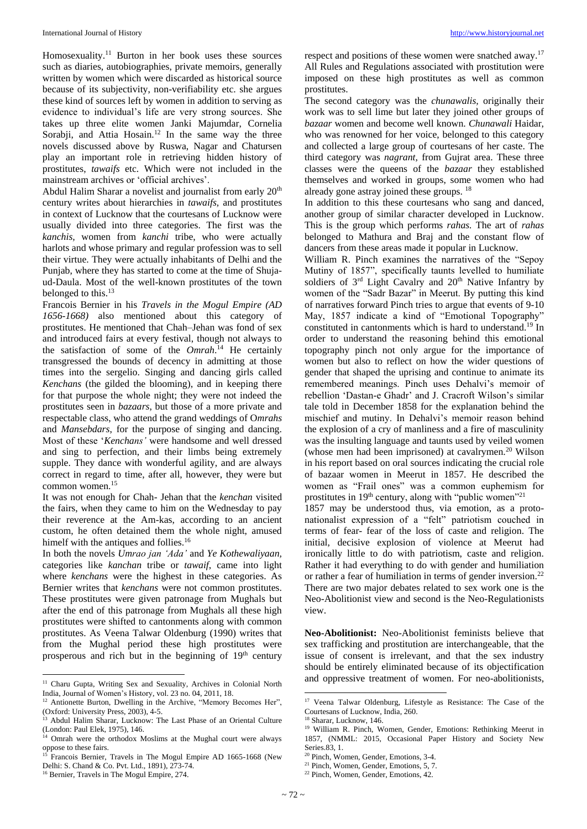Homosexuality.<sup>11</sup> Burton in her book uses these sources such as diaries, autobiographies, private memoirs, generally written by women which were discarded as historical source because of its subjectivity, non-verifiability etc. she argues these kind of sources left by women in addition to serving as evidence to individual's life are very strong sources. She takes up three elite women Janki Majumdar, Cornelia Sorabji, and Attia Hosain.<sup>12</sup> In the same way the three novels discussed above by Ruswa, Nagar and Chatursen play an important role in retrieving hidden history of prostitutes, *tawaifs* etc. Which were not included in the mainstream archives or 'official archives'.

Abdul Halim Sharar a novelist and journalist from early 20<sup>th</sup> century writes about hierarchies in *tawaifs,* and prostitutes in context of Lucknow that the courtesans of Lucknow were usually divided into three categories. The first was the *kanchis,* women from *kanchi* tribe, who were actually harlots and whose primary and regular profession was to sell their virtue. They were actually inhabitants of Delhi and the Punjab, where they has started to come at the time of Shujaud-Daula. Most of the well-known prostitutes of the town belonged to this.<sup>13</sup>

Francois Bernier in his *Travels in the Mogul Empire (AD 1656-1668)* also mentioned about this category of prostitutes. He mentioned that Chah–Jehan was fond of sex and introduced fairs at every festival, though not always to the satisfaction of some of the *Omrah*. <sup>14</sup> He certainly transgressed the bounds of decency in admitting at those times into the sergelio. Singing and dancing girls called *Kenchans* (the gilded the blooming), and in keeping there for that purpose the whole night; they were not indeed the prostitutes seen in *bazaars*, but those of a more private and respectable class, who attend the grand weddings of O*mrahs* and *Mansebdars*, for the purpose of singing and dancing. Most of these '*Kenchans'* were handsome and well dressed and sing to perfection, and their limbs being extremely supple. They dance with wonderful agility, and are always correct in regard to time, after all, however, they were but common women.<sup>15</sup>

It was not enough for Chah- Jehan that the *kenchan* visited the fairs, when they came to him on the Wednesday to pay their reverence at the Am-kas, according to an ancient custom, he often detained them the whole night, amused himelf with the antiques and follies.<sup>16</sup>

In both the novels *Umrao jan 'Ada'* and *Ye Kothewaliyaan,*  categories like *kanchan* tribe or *tawaif*, came into light where *kenchans* were the highest in these categories. As Bernier writes that *kenchans* were not common prostitutes. These prostitutes were given patronage from Mughals but after the end of this patronage from Mughals all these high prostitutes were shifted to cantonments along with common prostitutes. As Veena Talwar Oldenburg (1990) writes that from the Mughal period these high prostitutes were prosperous and rich but in the beginning of 19<sup>th</sup> century

 $\overline{a}$ 

respect and positions of these women were snatched away.<sup>17</sup> All Rules and Regulations associated with prostitution were imposed on these high prostitutes as well as common prostitutes.

The second category was the *chunawalis,* originally their work was to sell lime but later they joined other groups of *bazaar* women and become well known. *Chunawali* Haidar, who was renowned for her voice, belonged to this category and collected a large group of courtesans of her caste. The third category was *nagrant,* from Gujrat area. These three classes were the queens of the *bazaar* they established themselves and worked in groups, some women who had already gone astray joined these groups. <sup>18</sup>

In addition to this these courtesans who sang and danced, another group of similar character developed in Lucknow. This is the group which performs *rahas.* The art of *rahas*  belonged to Mathura and Braj and the constant flow of dancers from these areas made it popular in Lucknow.

William R. Pinch examines the narratives of the "Sepoy Mutiny of 1857", specifically taunts levelled to humiliate soldiers of  $3<sup>rd</sup>$  Light Cavalry and  $20<sup>th</sup>$  Native Infantry by women of the "Sadr Bazar" in Meerut. By putting this kind of narratives forward Pinch tries to argue that events of 9-10 May, 1857 indicate a kind of "Emotional Topography" constituted in cantonments which is hard to understand.<sup>19</sup> In order to understand the reasoning behind this emotional topography pinch not only argue for the importance of women but also to reflect on how the wider questions of gender that shaped the uprising and continue to animate its remembered meanings. Pinch uses Dehalvi's memoir of rebellion 'Dastan-e Ghadr' and J. Cracroft Wilson's similar tale told in December 1858 for the explanation behind the mischief and mutiny. In Dehalvi's memoir reason behind the explosion of a cry of manliness and a fire of masculinity was the insulting language and taunts used by veiled women (whose men had been imprisoned) at cavalrymen.<sup>20</sup> Wilson in his report based on oral sources indicating the crucial role of bazaar women in Meerut in 1857. He described the women as "Frail ones" was a common euphemism for prostitutes in 19<sup>th</sup> century, along with "public women"<sup>21</sup>

1857 may be understood thus, via emotion, as a protonationalist expression of a "felt" patriotism couched in terms of fear- fear of the loss of caste and religion. The initial, decisive explosion of violence at Meerut had ironically little to do with patriotism, caste and religion. Rather it had everything to do with gender and humiliation or rather a fear of humiliation in terms of gender inversion.<sup>22</sup> There are two major debates related to sex work one is the Neo-Abolitionist view and second is the Neo-Regulationists view.

**Neo-Abolitionist:** Neo-Abolitionist feminists believe that sex trafficking and prostitution are interchangeable, that the issue of consent is irrelevant, and that the sex industry should be entirely eliminated because of its objectification and oppressive treatment of women. For neo-abolitionists,

**.** 

<sup>&</sup>lt;sup>11</sup> Charu Gupta, Writing Sex and Sexuality, Archives in Colonial North India, Journal of Women's History, vol. 23 no. 04, 2011, 18.

<sup>&</sup>lt;sup>12</sup> Antionette Burton, Dwelling in the Archive, "Memory Becomes Her", (Oxford: University Press, 2003), 4-5.

<sup>&</sup>lt;sup>13</sup> Abdul Halim Sharar, Lucknow: The Last Phase of an Oriental Culture (London: Paul Elek, 1975), 146.

<sup>&</sup>lt;sup>14</sup> Omrah were the orthodox Moslims at the Mughal court were always oppose to these fairs.

<sup>&</sup>lt;sup>15</sup> Francois Bernier, Travels in The Mogul Empire AD 1665-1668 (New Delhi: S. Chand & Co. Pvt. Ltd., 1891), 273-74.

<sup>16</sup> Bernier, Travels in The Mogul Empire, 274.

<sup>&</sup>lt;sup>17</sup> Veena Talwar Oldenburg, Lifestyle as Resistance: The Case of the Courtesans of Lucknow, India, 260.

<sup>18</sup> Sharar, Lucknow, 146.

<sup>19</sup> William R. Pinch, Women, Gender, Emotions: Rethinking Meerut in 1857, (NMML: 2015, Occasional Paper History and Society New Series.83, 1.

<sup>20</sup> Pinch, Women, Gender, Emotions, 3-4.

<sup>&</sup>lt;sup>21</sup> Pinch, Women, Gender, Emotions, 5, 7.

<sup>22</sup> Pinch, Women, Gender, Emotions, 42.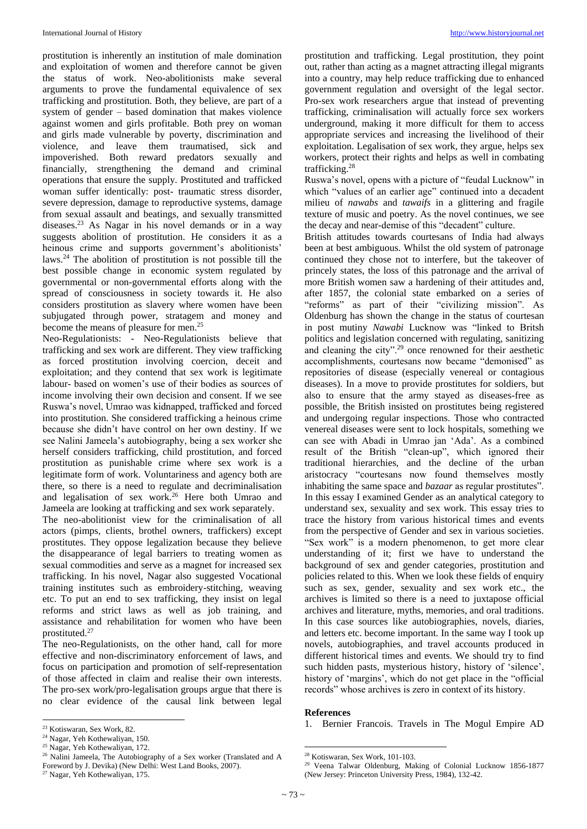prostitution is inherently an institution of male domination and exploitation of women and therefore cannot be given the status of work. Neo-abolitionists make several arguments to prove the fundamental equivalence of sex trafficking and prostitution. Both, they believe, are part of a system of gender – based domination that makes violence against women and girls profitable. Both prey on woman and girls made vulnerable by poverty, discrimination and violence, and leave them traumatised, sick and impoverished. Both reward predators sexually and financially, strengthening the demand and criminal operations that ensure the supply. Prostituted and trafficked woman suffer identically: post- traumatic stress disorder, severe depression, damage to reproductive systems, damage from sexual assault and beatings, and sexually transmitted diseases.<sup>23</sup> As Nagar in his novel demands or in a way suggests abolition of prostitution. He considers it as a heinous crime and supports government's abolitionists' laws.<sup>24</sup> The abolition of prostitution is not possible till the best possible change in economic system regulated by governmental or non-governmental efforts along with the spread of consciousness in society towards it. He also considers prostitution as slavery where women have been subjugated through power, stratagem and money and become the means of pleasure for men.<sup>25</sup>

Neo-Regulationists: - Neo-Regulationists believe that trafficking and sex work are different. They view trafficking as forced prostitution involving coercion, deceit and exploitation; and they contend that sex work is legitimate labour- based on women's use of their bodies as sources of income involving their own decision and consent. If we see Ruswa's novel, Umrao was kidnapped, trafficked and forced into prostitution. She considered trafficking a heinous crime because she didn't have control on her own destiny. If we see Nalini Jameela's autobiography, being a sex worker she herself considers trafficking, child prostitution, and forced prostitution as punishable crime where sex work is a legitimate form of work. Voluntariness and agency both are there, so there is a need to regulate and decriminalisation and legalisation of sex work.<sup>26</sup> Here both Umrao and Jameela are looking at trafficking and sex work separately.

The neo-abolitionist view for the criminalisation of all actors (pimps, clients, brothel owners, traffickers) except prostitutes. They oppose legalization because they believe the disappearance of legal barriers to treating women as sexual commodities and serve as a magnet for increased sex trafficking. In his novel, Nagar also suggested Vocational training institutes such as embroidery-stitching, weaving etc. To put an end to sex trafficking, they insist on legal reforms and strict laws as well as job training, and assistance and rehabilitation for women who have been prostituted.<sup>27</sup>

The neo-Regulationists, on the other hand, call for more effective and non-discriminatory enforcement of laws, and focus on participation and promotion of self-representation of those affected in claim and realise their own interests. The pro-sex work/pro-legalisation groups argue that there is no clear evidence of the causal link between legal

prostitution and trafficking. Legal prostitution, they point out, rather than acting as a magnet attracting illegal migrants into a country, may help reduce trafficking due to enhanced government regulation and oversight of the legal sector. Pro-sex work researchers argue that instead of preventing trafficking, criminalisation will actually force sex workers underground, making it more difficult for them to access appropriate services and increasing the livelihood of their exploitation. Legalisation of sex work, they argue, helps sex workers, protect their rights and helps as well in combating trafficking.<sup>28</sup>

Ruswa's novel, opens with a picture of "feudal Lucknow" in which "values of an earlier age" continued into a decadent milieu of *nawabs* and *tawaifs* in a glittering and fragile texture of music and poetry. As the novel continues, we see the decay and near-demise of this "decadent" culture.

British attitudes towards courtesans of India had always been at best ambiguous. Whilst the old system of patronage continued they chose not to interfere, but the takeover of princely states, the loss of this patronage and the arrival of more British women saw a hardening of their attitudes and, after 1857, the colonial state embarked on a series of "reforms" as part of their "civilizing mission". As Oldenburg has shown the change in the status of courtesan in post mutiny *Nawabi* Lucknow was "linked to Britsh politics and legislation concerned with regulating, sanitizing and cleaning the city".<sup>29</sup> once renowned for their aesthetic accomplishments, courtesans now became "demonised" as repositories of disease (especially venereal or contagious diseases). In a move to provide prostitutes for soldiers, but also to ensure that the army stayed as diseases-free as possible, the British insisted on prostitutes being registered and undergoing regular inspections. Those who contracted venereal diseases were sent to lock hospitals, something we can see with Abadi in Umrao jan 'Ada'. As a combined result of the British "clean-up", which ignored their traditional hierarchies, and the decline of the urban aristocracy "courtesans now found themselves mostly inhabiting the same space and *bazaar* as regular prostitutes". In this essay I examined Gender as an analytical category to understand sex, sexuality and sex work. This essay tries to trace the history from various historical times and events from the perspective of Gender and sex in various societies. "Sex work" is a modern phenomenon, to get more clear understanding of it; first we have to understand the background of sex and gender categories, prostitution and policies related to this. When we look these fields of enquiry such as sex, gender, sexuality and sex work etc., the archives is limited so there is a need to juxtapose official archives and literature, myths, memories, and oral traditions. In this case sources like autobiographies, novels, diaries, and letters etc. become important. In the same way I took up novels, autobiographies, and travel accounts produced in different historical times and events. We should try to find such hidden pasts, mysterious history, history of 'silence', history of 'margins', which do not get place in the "official records" whose archives is zero in context of its history.

### **References**

1. Bernier Francois. Travels in The Mogul Empire AD

**.** 

 $\overline{a}$ <sup>23</sup> Kotiswaran, Sex Work, 82.

<sup>24</sup> Nagar, Yeh Kothewaliyan, 150.

<sup>25</sup> Nagar, Yeh Kothewaliyan, 172.

<sup>&</sup>lt;sup>26</sup> Nalini Jameela, The Autobiography of a Sex worker (Translated and A Foreword by J. Devika) (New Delhi: West Land Books, 2007).

<sup>27</sup> Nagar, Yeh Kothewaliyan, 175.

<sup>28</sup> Kotiswaran, Sex Work, 101-103.

<sup>29</sup> Veena Talwar Oldenburg, Making of Colonial Lucknow 1856-1877 (New Jersey: Princeton University Press, 1984), 132-42.